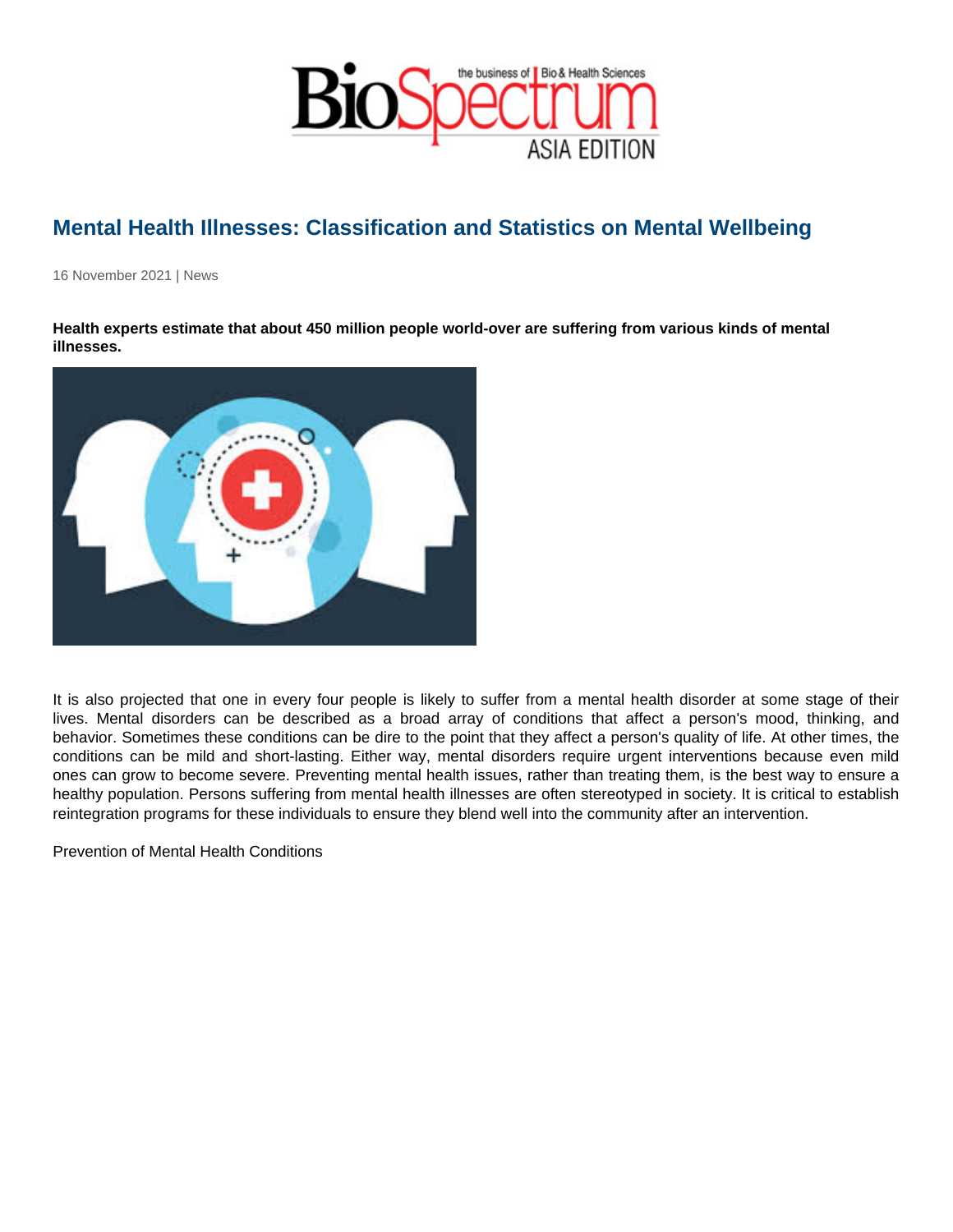## Mental Health Illnesses: Classification and Statistics on Mental Wellbeing

16 November 2021 | News

Health experts estimate that about 450 million people world-over are suffering from various kinds of mental illnesses.

It is also projected that one in every four people is likely to suffer from a mental health disorder at some stage of their lives. Mental disorders can be described as a broad array of conditions that affect a person's mood, thinking, and behavior. Sometimes these conditions can be dire to the point that they affect a person's quality of life. At other times, the conditions can be mild and short-lasting. Either way, mental disorders require urgent interventions because even mild ones can grow to become severe. Preventing mental health issues, rather than treating them, is the best way to ensure a healthy population. Persons suffering from mental health illnesses are often stereotyped in society. It is critical to establish reintegration programs for these individuals to ensure they blend well into the community after an intervention.

Prevention of Mental Health Conditions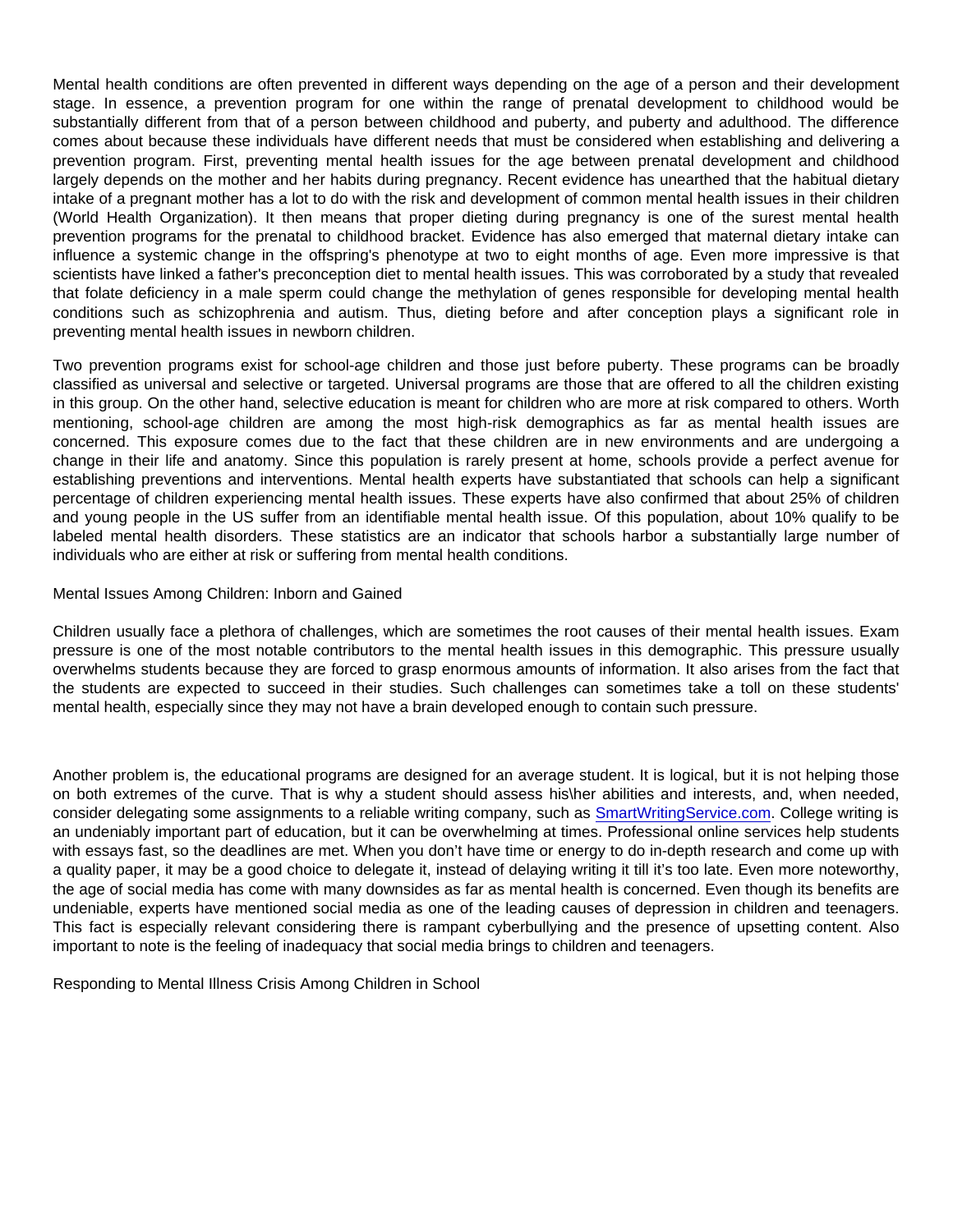Mental health conditions are often prevented in different ways depending on the age of a person and their development stage. In essence, a prevention program for one within the range of prenatal development to childhood would be substantially different from that of a person between childhood and puberty, and puberty and adulthood. The difference comes about because these individuals have different needs that must be considered when establishing and delivering a prevention program. First, preventing mental health issues for the age between prenatal development and childhood largely depends on the mother and her habits during pregnancy. Recent evidence has unearthed that the habitual dietary intake of a pregnant mother has a lot to do with the risk and development of common mental health issues in their children (World Health Organization). It then means that proper dieting during pregnancy is one of the surest mental health prevention programs for the prenatal to childhood bracket. Evidence has also emerged that maternal dietary intake can influence a systemic change in the offspring's phenotype at two to eight months of age. Even more impressive is that scientists have linked a father's preconception diet to mental health issues. This was corroborated by a study that revealed that folate deficiency in a male sperm could change the methylation of genes responsible for developing mental health conditions such as schizophrenia and autism. Thus, dieting before and after conception plays a significant role in preventing mental health issues in newborn children.

Two prevention programs exist for school-age children and those just before puberty. These programs can be broadly classified as universal and selective or targeted. Universal programs are those that are offered to all the children existing in this group. On the other hand, selective education is meant for children who are more at risk compared to others. Worth mentioning, school-age children are among the most high-risk demographics as far as mental health issues are concerned. This exposure comes due to the fact that these children are in new environments and are undergoing a change in their life and anatomy. Since this population is rarely present at home, schools provide a perfect avenue for establishing preventions and interventions. Mental health experts have substantiated that schools can help a significant percentage of children experiencing mental health issues. These experts have also confirmed that about 25% of children and young people in the US suffer from an identifiable mental health issue. Of this population, about 10% qualify to be labeled mental health disorders. These statistics are an indicator that schools harbor a substantially large number of individuals who are either at risk or suffering from mental health conditions.

## Mental Issues Among Children: Inborn and Gained

Children usually face a plethora of challenges, which are sometimes the root causes of their mental health issues. Exam pressure is one of the most notable contributors to the mental health issues in this demographic. This pressure usually overwhelms students because they are forced to grasp enormous amounts of information. It also arises from the fact that the students are expected to succeed in their studies. Such challenges can sometimes take a toll on these students' mental health, especially since they may not have a brain developed enough to contain such pressure.

Another problem is, the educational programs are designed for an average student. It is logical, but it is not helping those on both extremes of the curve. That is why a student should assess his\her abilities and interests, and, when needed, consider delegating some assignments to a reliable writing company, such as [SmartWritingService.com](https://smartwritingservice.com). College writing is an undeniably important part of education, but it can be overwhelming at times. Professional online services help students with essays fast, so the deadlines are met. When you don't have time or energy to do in-depth research and come up with a quality paper, it may be a good choice to delegate it, instead of delaying writing it till it's too late. Even more noteworthy, the age of social media has come with many downsides as far as mental health is concerned. Even though its benefits are undeniable, experts have mentioned social media as one of the leading causes of depression in children and teenagers. This fact is especially relevant considering there is rampant cyberbullying and the presence of upsetting content. Also important to note is the feeling of inadequacy that social media brings to children and teenagers.

Responding to Mental Illness Crisis Among Children in School